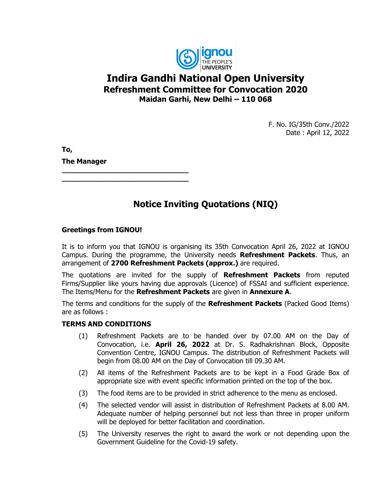

# **Indira Gandhi National Open University Refreshment Committee for Convocation 2020 Maidan Garhi, New Delhi – 110 068**

F. No. IG/35th Conv./2022 Date : April 12, 2022

**To, The Manager**

# **Notice Inviting Quotations (NIQ)**

**\_\_\_\_\_\_\_\_\_\_\_\_\_\_\_\_\_\_\_\_\_\_\_\_\_\_\_\_\_ \_\_\_\_\_\_\_\_\_\_\_\_\_\_\_\_\_\_\_\_\_\_\_\_\_\_\_\_\_**

### **Greetings from IGNOU!**

It is to inform you that IGNOU is organising its 35th Convocation April 26, 2022 at IGNOU Campus. During the programme, the University needs **Refreshment Packets**. Thus, an arrangement of **2700 Refreshment Packets (approx.)** are required.

The quotations are invited for the supply of **Refreshment Packets** from reputed Firms/Supplier like yours having due approvals (Licence) of FSSAI and sufficient experience. The Items/Menu for the **Refreshment Packets** are given in **Annexure A**.

The terms and conditions for the supply of the **Refreshment Packets** (Packed Good Items) are as follows :

#### **TERMS AND CONDITIONS**

- (1) Refreshment Packets are to be handed over by 07.00 AM on the Day of Convocation, i.e. **April 26, 2022** at Dr. S. Radhakrishnan Block, Opposite Convention Centre, IGNOU Campus. The distribution of Refreshment Packets will begin from 08.00 AM on the Day of Convocation till 09.30 AM.
- (2) All items of the Refreshment Packets are to be kept in a Food Grade Box of appropriate size with event specific information printed on the top of the box.
- (3) The food items are to be provided in strict adherence to the menu as enclosed.
- (4) The selected vendor will assist in distribution of Refreshment Packets at 8.00 AM. Adequate number of helping personnel but not less than three in proper uniform will be deployed for better facilitation and coordination.
- (5) The University reserves the right to award the work or not depending upon the Government Guideline for the Covid-19 safety.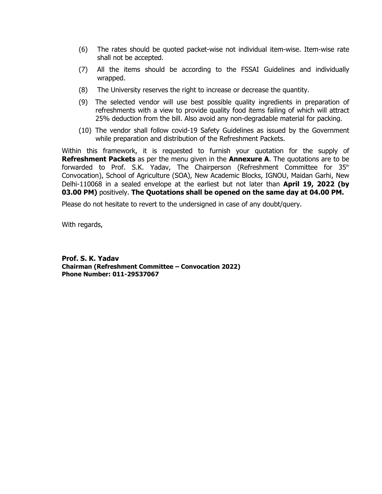- (6) The rates should be quoted packet-wise not individual item-wise. Item-wise rate shall not be accepted.
- (7) All the items should be according to the FSSAI Guidelines and individually wrapped.
- (8) The University reserves the right to increase or decrease the quantity.
- (9) The selected vendor will use best possible quality ingredients in preparation of refreshments with a view to provide quality food items failing of which will attract 25% deduction from the bill. Also avoid any non-degradable material for packing.
- (10) The vendor shall follow covid-19 Safety Guidelines as issued by the Government while preparation and distribution of the Refreshment Packets.

Within this framework, it is requested to furnish your quotation for the supply of **Refreshment Packets** as per the menu given in the **Annexure A**. The quotations are to be forwarded to Prof. S.K. Yadav, The Chairperson (Refreshment Committee for 35<sup>th</sup> Convocation), School of Agriculture (SOA), New Academic Blocks, IGNOU, Maidan Garhi, New Delhi-110068 in a sealed envelope at the earliest but not later than **April 19, 2022 (by 03.00 PM)** positively. **The Quotations shall be opened on the same day at 04.00 PM.**

Please do not hesitate to revert to the undersigned in case of any doubt/query.

With regards,

**Prof. S. K. Yadav Chairman (Refreshment Committee – Convocation 2022) Phone Number: 011-29537067**